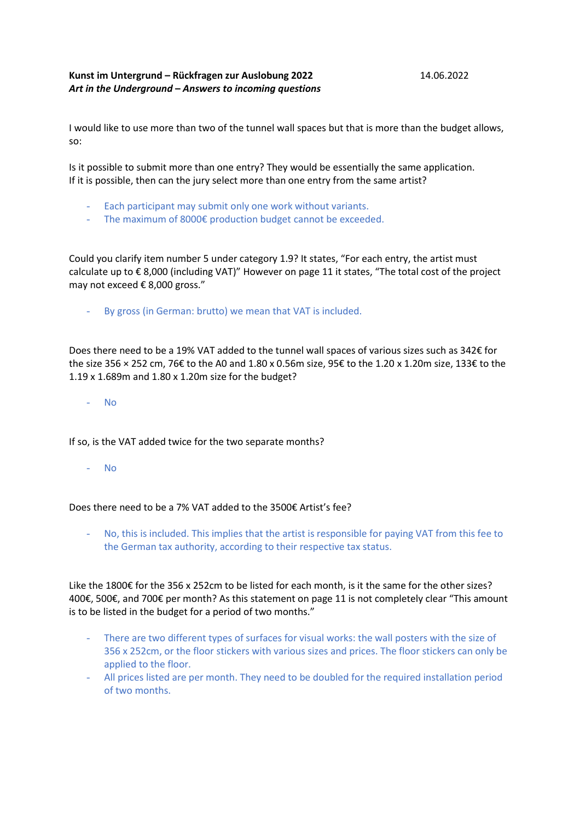## **Kunst im Untergrund – Rückfragen zur Auslobung 2022** 14.06.2022 *Art in the Underground* **–** *Answers to incoming questions*

I would like to use more than two of the tunnel wall spaces but that is more than the budget allows, so:

Is it possible to submit more than one entry? They would be essentially the same application. If it is possible, then can the jury select more than one entry from the same artist?

- Each participant may submit only one work without variants.
- The maximum of 8000€ production budget cannot be exceeded.

Could you clarify item number 5 under category 1.9? It states, "For each entry, the artist must calculate up to € 8,000 (including VAT)" However on page 11 it states, "The total cost of the project may not exceed € 8,000 gross."

- By gross (in German: brutto) we mean that VAT is included.

Does there need to be a 19% VAT added to the tunnel wall spaces of various sizes such as 342€ for the size 356 × 252 cm, 76€ to the A0 and 1.80 x 0.56m size, 95€ to the 1.20 x 1.20m size, 133€ to the 1.19 x 1.689m and 1.80 x 1.20m size for the budget?

- No

If so, is the VAT added twice for the two separate months?

- No

Does there need to be a 7% VAT added to the 3500€ Artist's fee?

No, this is included. This implies that the artist is responsible for paying VAT from this fee to the German tax authority, according to their respective tax status.

Like the 1800€ for the 356 x 252cm to be listed for each month, is it the same for the other sizes? 400€, 500€, and 700€ per month? As this statement on page 11 is not completely clear "This amount is to be listed in the budget for a period of two months."

- There are two different types of surfaces for visual works: the wall posters with the size of 356 x 252cm, or the floor stickers with various sizes and prices. The floor stickers can only be applied to the floor.
- All prices listed are per month. They need to be doubled for the required installation period of two months.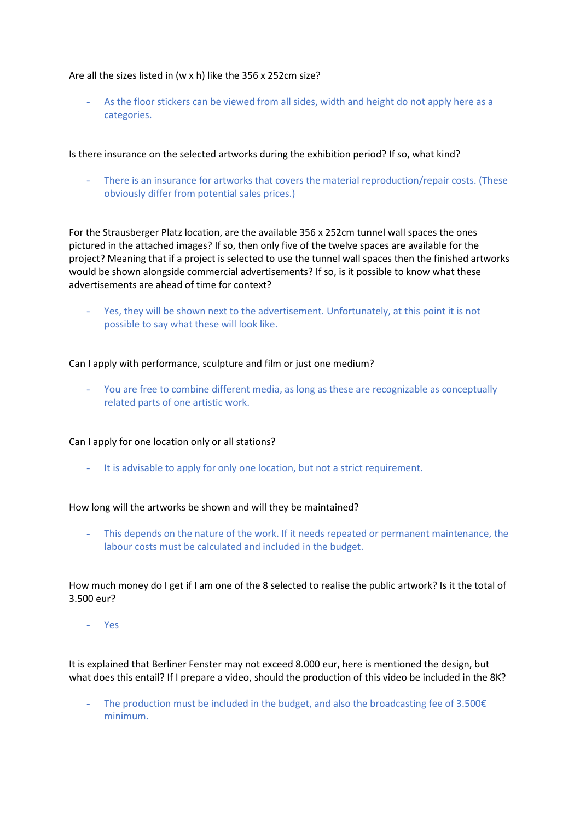## Are all the sizes listed in (w x h) like the 356 x 252cm size?

- As the floor stickers can be viewed from all sides, width and height do not apply here as a categories.

Is there insurance on the selected artworks during the exhibition period? If so, what kind?

There is an insurance for artworks that covers the material reproduction/repair costs. (These obviously differ from potential sales prices.)

For the Strausberger Platz location, are the available 356 x 252cm tunnel wall spaces the ones pictured in the attached images? If so, then only five of the twelve spaces are available for the project? Meaning that if a project is selected to use the tunnel wall spaces then the finished artworks would be shown alongside commercial advertisements? If so, is it possible to know what these advertisements are ahead of time for context?

- Yes, they will be shown next to the advertisement. Unfortunately, at this point it is not possible to say what these will look like.

Can I apply with performance, sculpture and film or just one medium?

- You are free to combine different media, as long as these are recognizable as conceptually related parts of one artistic work.

Can I apply for one location only or all stations?

- It is advisable to apply for only one location, but not a strict requirement.

How long will the artworks be shown and will they be maintained?

This depends on the nature of the work. If it needs repeated or permanent maintenance, the labour costs must be calculated and included in the budget.

How much money do I get if I am one of the 8 selected to realise the public artwork? Is it the total of 3.500 eur?

- Yes

It is explained that Berliner Fenster may not exceed 8.000 eur, here is mentioned the design, but what does this entail? If I prepare a video, should the production of this video be included in the 8K?

- The production must be included in the budget, and also the broadcasting fee of 3.500€ minimum.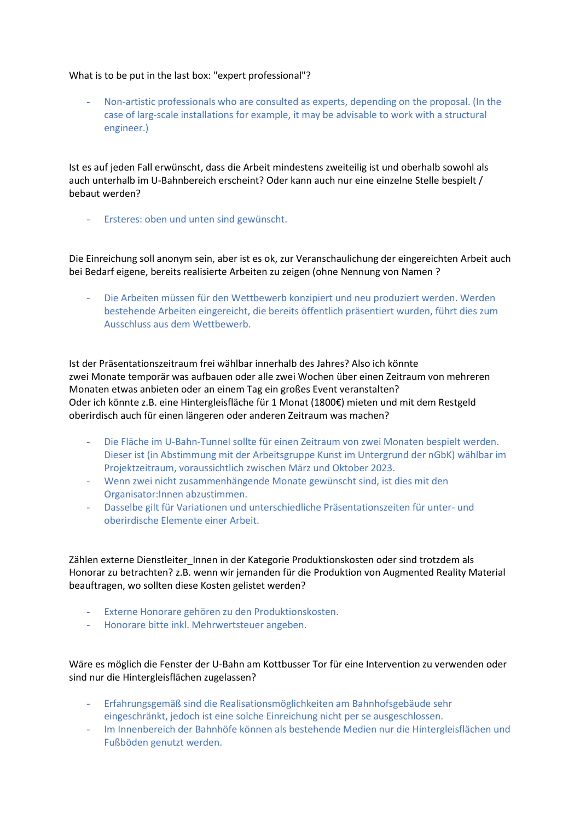## What is to be put in the last box: "expert professional"?

- Non-artistic professionals who are consulted as experts, depending on the proposal. (In the case of larg-scale installations for example, it may be advisable to work with a structural engineer.)

Ist es auf jeden Fall erwünscht, dass die Arbeit mindestens zweiteilig ist und oberhalb sowohl als auch unterhalb im U-Bahnbereich erscheint? Oder kann auch nur eine einzelne Stelle bespielt / bebaut werden?

- Ersteres: oben und unten sind gewünscht.

Die Einreichung soll anonym sein, aber ist es ok, zur Veranschaulichung der eingereichten Arbeit auch bei Bedarf eigene, bereits realisierte Arbeiten zu zeigen (ohne Nennung von Namen ?

- Die Arbeiten müssen für den Wettbewerb konzipiert und neu produziert werden. Werden bestehende Arbeiten eingereicht, die bereits öffentlich präsentiert wurden, führt dies zum Ausschluss aus dem Wettbewerb.

Ist der Präsentationszeitraum frei wählbar innerhalb des Jahres? Also ich könnte zwei Monate temporär was aufbauen oder alle zwei Wochen über einen Zeitraum von mehreren Monaten etwas anbieten oder an einem Tag ein großes Event veranstalten? Oder ich könnte z.B. eine Hintergleisfläche für 1 Monat (1800€) mieten und mit dem Restgeld oberirdisch auch für einen längeren oder anderen Zeitraum was machen?

- Die Fläche im U-Bahn-Tunnel sollte für einen Zeitraum von zwei Monaten bespielt werden. Dieser ist (in Abstimmung mit der Arbeitsgruppe Kunst im Untergrund der nGbK) wählbar im Projektzeitraum, voraussichtlich zwischen März und Oktober 2023.
- Wenn zwei nicht zusammenhängende Monate gewünscht sind, ist dies mit den Organisator:Innen abzustimmen.
- Dasselbe gilt für Variationen und unterschiedliche Präsentationszeiten für unter- und oberirdische Elemente einer Arbeit.

Zählen externe Dienstleiter Innen in der Kategorie Produktionskosten oder sind trotzdem als Honorar zu betrachten? z.B. wenn wir jemanden für die Produktion von Augmented Reality Material beauftragen, wo sollten diese Kosten gelistet werden?

- Externe Honorare gehören zu den Produktionskosten.
- Honorare bitte inkl. Mehrwertsteuer angeben.

Wäre es möglich die Fenster der U-Bahn am Kottbusser Tor für eine Intervention zu verwenden oder sind nur die Hintergleisflächen zugelassen?

- Erfahrungsgemäß sind die Realisationsmöglichkeiten am Bahnhofsgebäude sehr eingeschränkt, jedoch ist eine solche Einreichung nicht per se ausgeschlossen.
- Im Innenbereich der Bahnhöfe können als bestehende Medien nur die Hintergleisflächen und Fußböden genutzt werden.